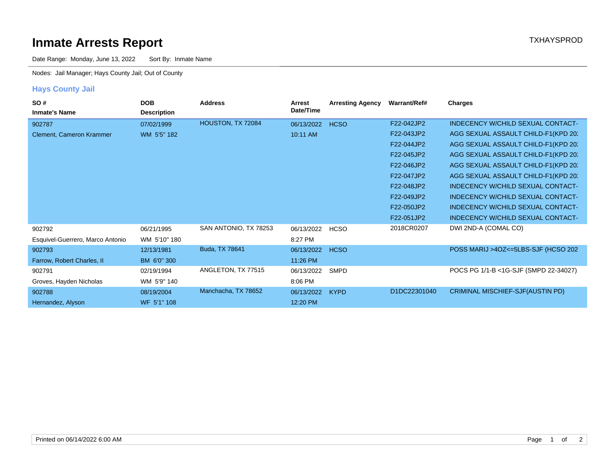## **Inmate Arrests Report TXHAYSPROD Inmate Arrests Report**

Date Range: Monday, June 13, 2022 Sort By: Inmate Name

Nodes: Jail Manager; Hays County Jail; Out of County

## **Hays County Jail**

| SO#<br><b>Inmate's Name</b>      | <b>DOB</b><br><b>Description</b> | <b>Address</b>        | Arrest<br>Date/Time | <b>Arresting Agency</b> | Warrant/Ref# | Charges                                  |
|----------------------------------|----------------------------------|-----------------------|---------------------|-------------------------|--------------|------------------------------------------|
| 902787                           | 07/02/1999                       | HOUSTON, TX 72084     | 06/13/2022          | <b>HCSO</b>             | F22-042JP2   | INDECENCY W/CHILD SEXUAL CONTACT-        |
| <b>Clement, Cameron Krammer</b>  | WM 5'5" 182                      |                       | 10:11 AM            |                         | F22-043JP2   | AGG SEXUAL ASSAULT CHILD-F1(KPD 20)      |
|                                  |                                  |                       |                     |                         | F22-044JP2   | AGG SEXUAL ASSAULT CHILD-F1(KPD 20:      |
|                                  |                                  |                       |                     |                         | F22-045JP2   | AGG SEXUAL ASSAULT CHILD-F1(KPD 20:      |
|                                  |                                  |                       |                     |                         | F22-046JP2   | AGG SEXUAL ASSAULT CHILD-F1(KPD 20)      |
|                                  |                                  |                       |                     |                         | F22-047JP2   | AGG SEXUAL ASSAULT CHILD-F1(KPD 20)      |
|                                  |                                  |                       |                     |                         | F22-048JP2   | <b>INDECENCY W/CHILD SEXUAL CONTACT-</b> |
|                                  |                                  |                       |                     |                         | F22-049JP2   | <b>INDECENCY W/CHILD SEXUAL CONTACT-</b> |
|                                  |                                  |                       |                     |                         | F22-050JP2   | INDECENCY W/CHILD SEXUAL CONTACT-        |
|                                  |                                  |                       |                     |                         | F22-051JP2   | INDECENCY W/CHILD SEXUAL CONTACT-        |
| 902792                           | 06/21/1995                       | SAN ANTONIO, TX 78253 | 06/13/2022          | <b>HCSO</b>             | 2018CR0207   | DWI 2ND-A (COMAL CO)                     |
| Esquivel-Guerrero, Marco Antonio | WM 5'10" 180                     |                       | 8:27 PM             |                         |              |                                          |
| 902793                           | 12/13/1981                       | Buda, TX 78641        | 06/13/2022          | <b>HCSO</b>             |              | POSS MARIJ >4OZ<=5LBS-SJF (HCSO 202      |
| Farrow, Robert Charles, II       | BM 6'0" 300                      |                       | 11:26 PM            |                         |              |                                          |
| 902791                           | 02/19/1994                       | ANGLETON, TX 77515    | 06/13/2022          | <b>SMPD</b>             |              | POCS PG 1/1-B <1G-SJF (SMPD 22-34027)    |
| Groves, Hayden Nicholas          | WM 5'9" 140                      |                       | 8:06 PM             |                         |              |                                          |
| 902788                           | 08/19/2004                       | Manchacha, TX 78652   | 06/13/2022          | <b>KYPD</b>             | D1DC22301040 | <b>CRIMINAL MISCHIEF-SJF(AUSTIN PD)</b>  |
| Hernandez, Alyson                | WF 5'1" 108                      |                       | 12:20 PM            |                         |              |                                          |